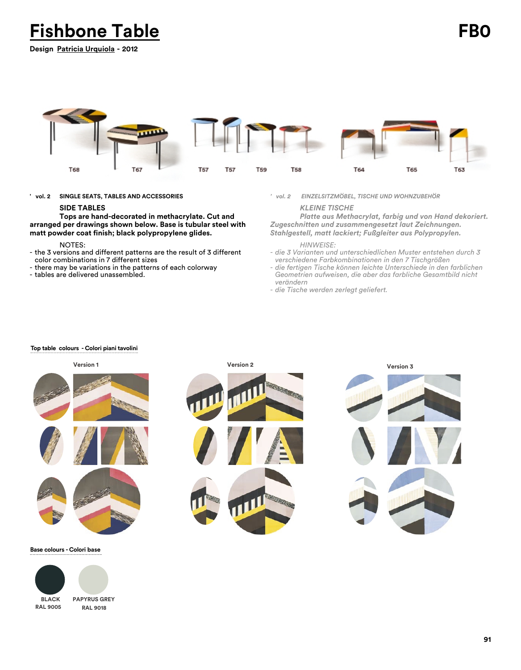**Fishbone Table FB0**

**Design Patricia Urquiola - 2012**



**' vol. 2 SINGLE SEATS, TABLES AND ACCESSORIES**

## **SIDE TABLES**

**Tops are hand-decorated in methacrylate. Cut and arranged per drawings shown below. Base is tubular steel with matt powder coat finish; black polypropylene glides.**

## NOTES:

- the 3 versions and different patterns are the result of 3 different color combinations in 7 different sizes
- there may be variations in the patterns of each colorway
- tables are delivered unassembled.

*' vol. 2 EINZELSITZMÖBEL, TISCHE UND WOHNZUBEHÖR*

## *KLEINE TISCHE*

*Platte aus Methacrylat, farbig und von Hand dekoriert. Zugeschnitten und zusammengesetzt laut Zeichnungen. Stahlgestell, matt lackiert; Fußgleiter aus Polypropylen.*

# *HINWEISE:*

- *die 3 Varianten und unterschiedlichen Muster entstehen durch 3 verschiedene Farbkombinationen in den 7 Tischgrößen*
- *die fertigen Tische können leichte Unterschiede in den farblichen Geometrien aufweisen, die aber das farbliche Gesamtbild nicht verändern*
- *die Tische werden zerlegt geliefert.*

#### **Top table colours - Colori piani tavolini**



**Base colours - Colori base**



**PAPYRUS GREY RAL 9018**

**91**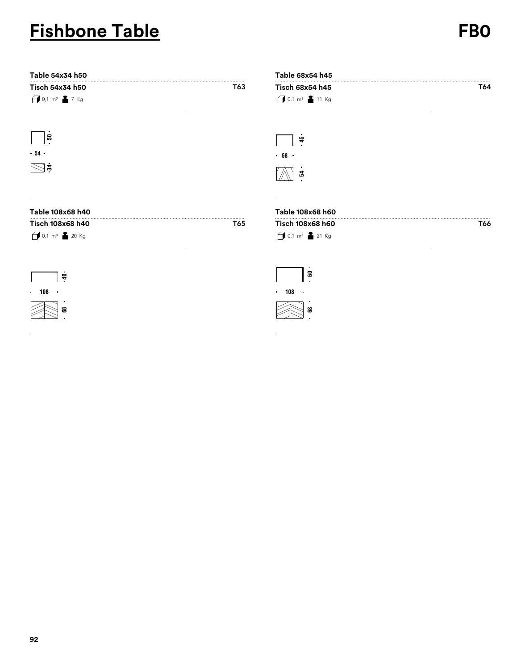# **Fishbone Table FB0**

| Table 54x34 h50  |     | Table 68x54 h45    |     |
|------------------|-----|--------------------|-----|
| Tisch 54x34 h50  | T63 | Tisch 68x54 h45    | T64 |
| $10,1 m3$ 17 Kg  |     | 11 Kg              |     |
| ᢛ                |     | 45                 |     |
| .54.             |     | .68.               |     |
| $\bowtie$ ន      |     | 볹                  |     |
| $\sim$           |     |                    |     |
| Table 108x68 h40 |     | Table 108x68 h60   |     |
| Tisch 108x68 h40 | T65 | Tisch 108x68 h60   | T66 |
| $10,1 m3$ 20 Kg  |     | $10,1 m3$ 21 Kg    |     |
|                  |     | 5                  |     |
| $\epsilon$       |     |                    |     |
| $\cdot$ 108      |     | 108<br>$\bullet$ . |     |
| 8                |     | జ                  |     |

 $\bar{z}$ 

 $\bar{\beta}$